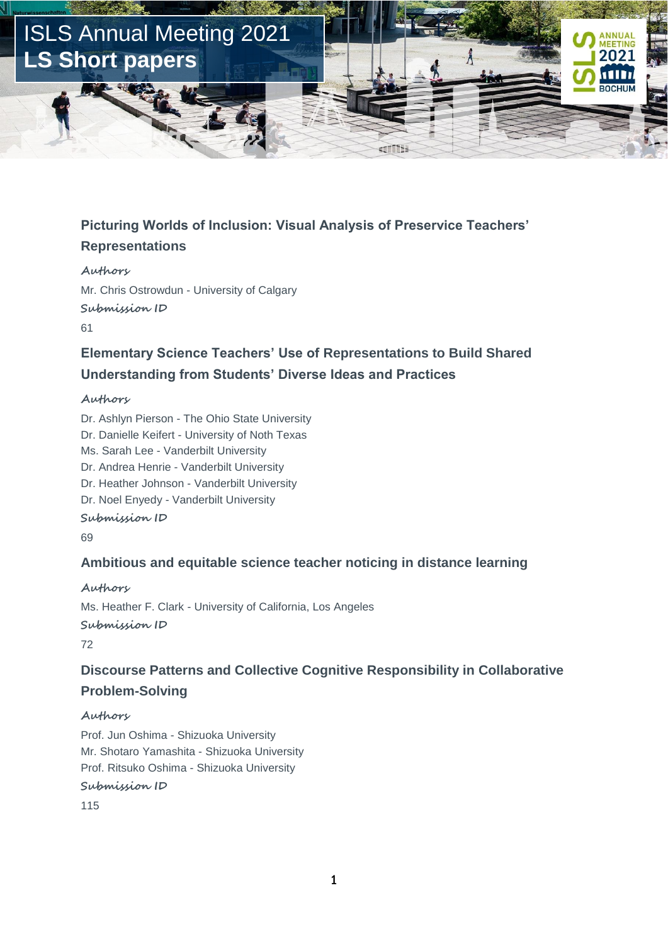

### **Picturing Worlds of Inclusion: Visual Analysis of Preservice Teachers' Representations**

**Authors** Mr. Chris Ostrowdun - University of Calgary **Submission ID** 61

### **Elementary Science Teachers' Use of Representations to Build Shared Understanding from Students' Diverse Ideas and Practices**

#### **Authors**

Dr. Ashlyn Pierson - The Ohio State University Dr. Danielle Keifert - University of Noth Texas Ms. Sarah Lee - Vanderbilt University Dr. Andrea Henrie - Vanderbilt University Dr. Heather Johnson - Vanderbilt University Dr. Noel Enyedy - Vanderbilt University **Submission ID** 69

### **Ambitious and equitable science teacher noticing in distance learning**

**Authors** Ms. Heather F. Clark - University of California, Los Angeles **Submission ID** 72

### **Discourse Patterns and Collective Cognitive Responsibility in Collaborative Problem-Solving**

#### **Authors**

Prof. Jun Oshima - Shizuoka University Mr. Shotaro Yamashita - Shizuoka University Prof. Ritsuko Oshima - Shizuoka University

**Submission ID**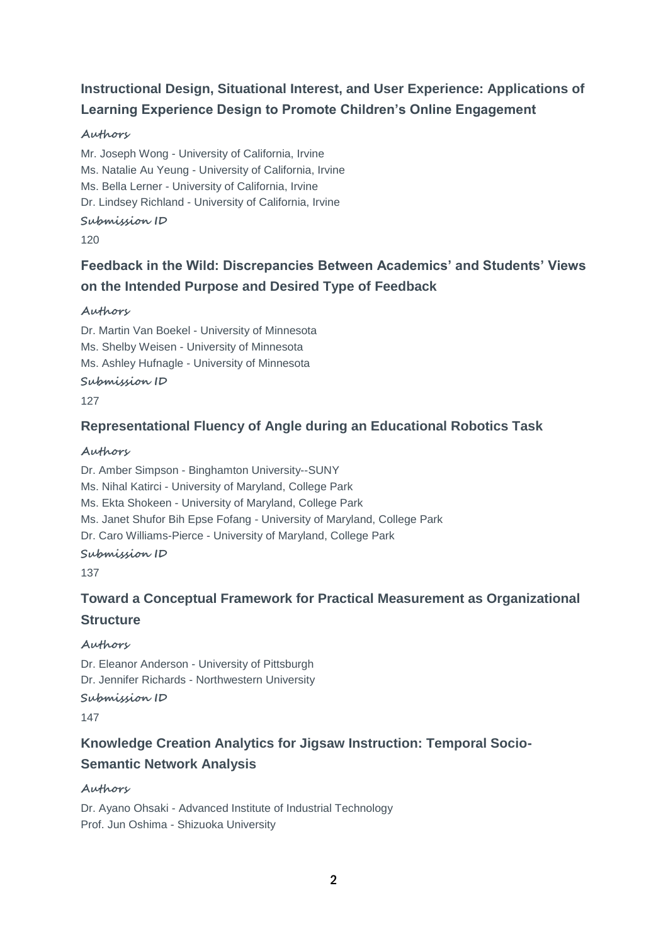# **Instructional Design, Situational Interest, and User Experience: Applications of Learning Experience Design to Promote Children's Online Engagement**

### **Authors**

Mr. Joseph Wong - University of California, Irvine Ms. Natalie Au Yeung - University of California, Irvine Ms. Bella Lerner - University of California, Irvine Dr. Lindsey Richland - University of California, Irvine **Submission ID**

120

# **Feedback in the Wild: Discrepancies Between Academics' and Students' Views on the Intended Purpose and Desired Type of Feedback**

### **Authors**

Dr. Martin Van Boekel - University of Minnesota Ms. Shelby Weisen - University of Minnesota Ms. Ashley Hufnagle - University of Minnesota **Submission ID** 127

### **Representational Fluency of Angle during an Educational Robotics Task**

### **Authors**

Dr. Amber Simpson - Binghamton University--SUNY Ms. Nihal Katirci - University of Maryland, College Park Ms. Ekta Shokeen - University of Maryland, College Park Ms. Janet Shufor Bih Epse Fofang - University of Maryland, College Park Dr. Caro Williams-Pierce - University of Maryland, College Park **Submission ID**

137

# **Toward a Conceptual Framework for Practical Measurement as Organizational Structure**

### **Authors**

Dr. Eleanor Anderson - University of Pittsburgh Dr. Jennifer Richards - Northwestern University **Submission ID** 147

# **Knowledge Creation Analytics for Jigsaw Instruction: Temporal Socio-Semantic Network Analysis**

### **Authors**

Dr. Ayano Ohsaki - Advanced Institute of Industrial Technology Prof. Jun Oshima - Shizuoka University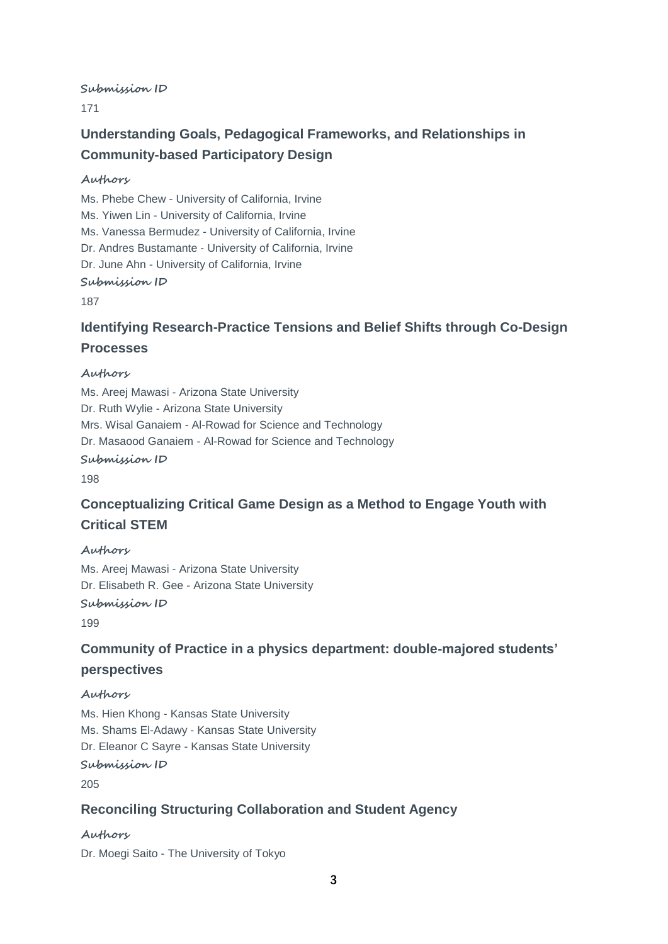#### **Submission ID**

171

### **Understanding Goals, Pedagogical Frameworks, and Relationships in Community-based Participatory Design**

#### **Authors**

Ms. Phebe Chew - University of California, Irvine Ms. Yiwen Lin - University of California, Irvine Ms. Vanessa Bermudez - University of California, Irvine Dr. Andres Bustamante - University of California, Irvine Dr. June Ahn - University of California, Irvine **Submission ID**

187

### **Identifying Research-Practice Tensions and Belief Shifts through Co-Design Processes**

#### **Authors**

Ms. Areej Mawasi - Arizona State University Dr. Ruth Wylie - Arizona State University Mrs. Wisal Ganaiem - Al-Rowad for Science and Technology Dr. Masaood Ganaiem - Al-Rowad for Science and Technology **Submission ID** 198

### **Conceptualizing Critical Game Design as a Method to Engage Youth with Critical STEM**

#### **Authors**

Ms. Areej Mawasi - Arizona State University Dr. Elisabeth R. Gee - Arizona State University

#### **Submission ID**

199

### **Community of Practice in a physics department: double-majored students' perspectives**

#### **Authors**

Ms. Hien Khong - Kansas State University Ms. Shams El-Adawy - Kansas State University Dr. Eleanor C Sayre - Kansas State University **Submission ID**

205

### **Reconciling Structuring Collaboration and Student Agency**

#### **Authors**

Dr. Moegi Saito - The University of Tokyo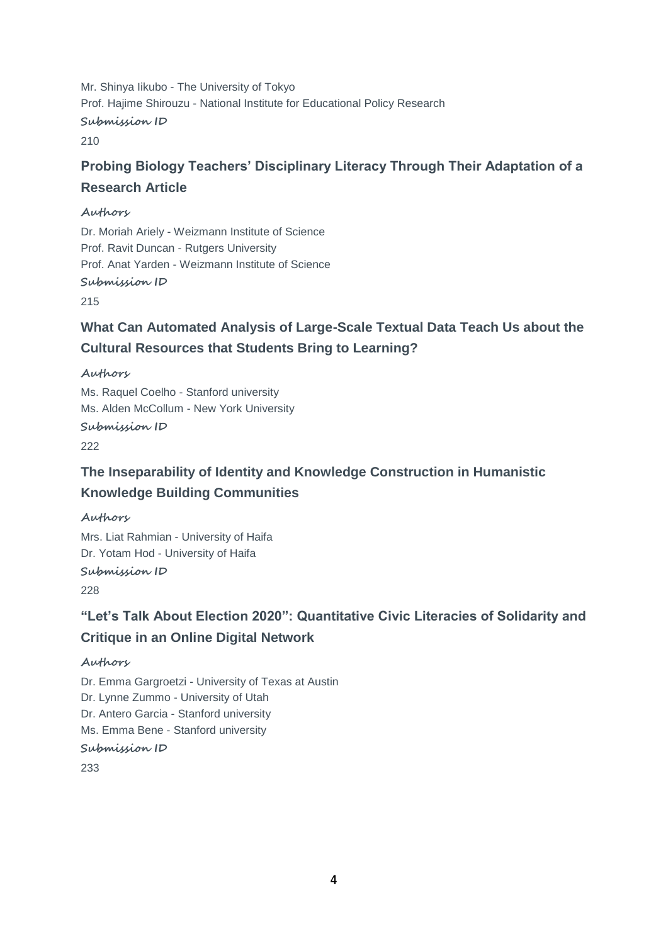Mr. Shinya Iikubo - The University of Tokyo Prof. Hajime Shirouzu - National Institute for Educational Policy Research **Submission ID** 210

# **Probing Biology Teachers' Disciplinary Literacy Through Their Adaptation of a Research Article**

#### **Authors**

Dr. Moriah Ariely - Weizmann Institute of Science Prof. Ravit Duncan - Rutgers University Prof. Anat Yarden - Weizmann Institute of Science **Submission ID**

215

# **What Can Automated Analysis of Large-Scale Textual Data Teach Us about the Cultural Resources that Students Bring to Learning?**

**Authors**

Ms. Raquel Coelho - Stanford university Ms. Alden McCollum - New York University **Submission ID**

222

### **The Inseparability of Identity and Knowledge Construction in Humanistic Knowledge Building Communities**

#### **Authors**

Mrs. Liat Rahmian - University of Haifa Dr. Yotam Hod - University of Haifa **Submission ID** 228

**"Let's Talk About Election 2020": Quantitative Civic Literacies of Solidarity and Critique in an Online Digital Network**

#### **Authors**

Dr. Emma Gargroetzi - University of Texas at Austin Dr. Lynne Zummo - University of Utah Dr. Antero Garcia - Stanford university Ms. Emma Bene - Stanford university **Submission ID** 233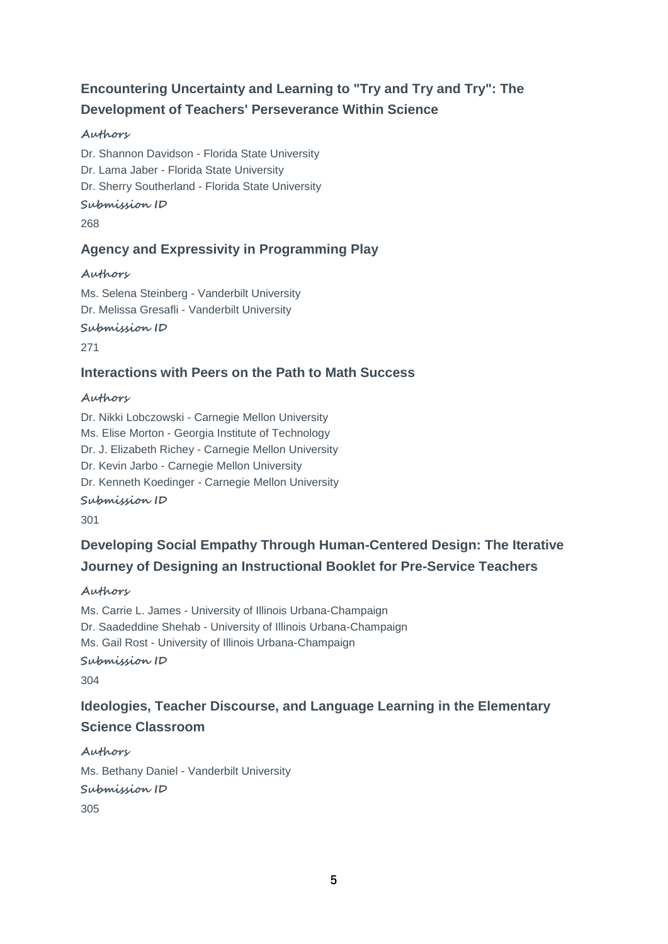# **Encountering Uncertainty and Learning to "Try and Try and Try": The Development of Teachers' Perseverance Within Science**

### **Authors**

Dr. Shannon Davidson - Florida State University Dr. Lama Jaber - Florida State University Dr. Sherry Southerland - Florida State University **Submission ID** 268

### **Agency and Expressivity in Programming Play**

### **Authors**

Ms. Selena Steinberg - Vanderbilt University Dr. Melissa Gresafli - Vanderbilt University

**Submission ID**

271

### **Interactions with Peers on the Path to Math Success**

### **Authors**

Dr. Nikki Lobczowski - Carnegie Mellon University Ms. Elise Morton - Georgia Institute of Technology Dr. J. Elizabeth Richey - Carnegie Mellon University Dr. Kevin Jarbo - Carnegie Mellon University Dr. Kenneth Koedinger - Carnegie Mellon University

**Submission ID**

301

# **Developing Social Empathy Through Human-Centered Design: The Iterative Journey of Designing an Instructional Booklet for Pre-Service Teachers**

**Authors**

Ms. Carrie L. James - University of Illinois Urbana-Champaign Dr. Saadeddine Shehab - University of Illinois Urbana-Champaign Ms. Gail Rost - University of Illinois Urbana-Champaign **Submission ID** 304

# **Ideologies, Teacher Discourse, and Language Learning in the Elementary Science Classroom**

**Authors** Ms. Bethany Daniel - Vanderbilt University **Submission ID** 305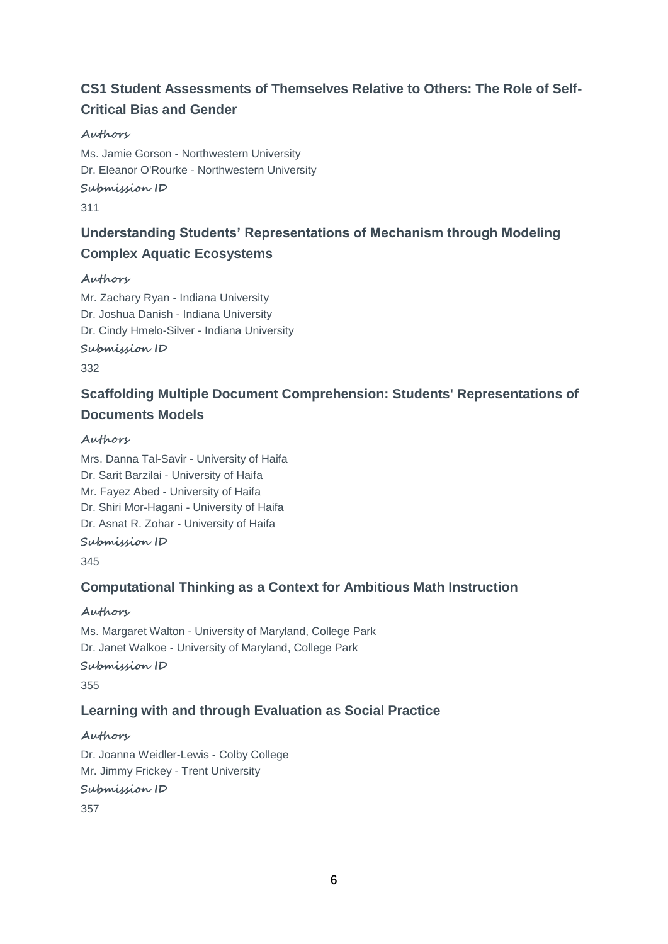# **CS1 Student Assessments of Themselves Relative to Others: The Role of Self-Critical Bias and Gender**

### **Authors**

Ms. Jamie Gorson - Northwestern University Dr. Eleanor O'Rourke - Northwestern University **Submission ID**

311

# **Understanding Students' Representations of Mechanism through Modeling Complex Aquatic Ecosystems**

#### **Authors**

Mr. Zachary Ryan - Indiana University Dr. Joshua Danish - Indiana University Dr. Cindy Hmelo-Silver - Indiana University

#### **Submission ID**

332

# **Scaffolding Multiple Document Comprehension: Students' Representations of Documents Models**

### **Authors**

Mrs. Danna Tal-Savir - University of Haifa Dr. Sarit Barzilai - University of Haifa Mr. Fayez Abed - University of Haifa Dr. Shiri Mor-Hagani - University of Haifa Dr. Asnat R. Zohar - University of Haifa **Submission ID**

345

### **Computational Thinking as a Context for Ambitious Math Instruction**

### **Authors**

Ms. Margaret Walton - University of Maryland, College Park Dr. Janet Walkoe - University of Maryland, College Park **Submission ID** 355

### **Learning with and through Evaluation as Social Practice**

### **Authors**

Dr. Joanna Weidler-Lewis - Colby College Mr. Jimmy Frickey - Trent University **Submission ID** 357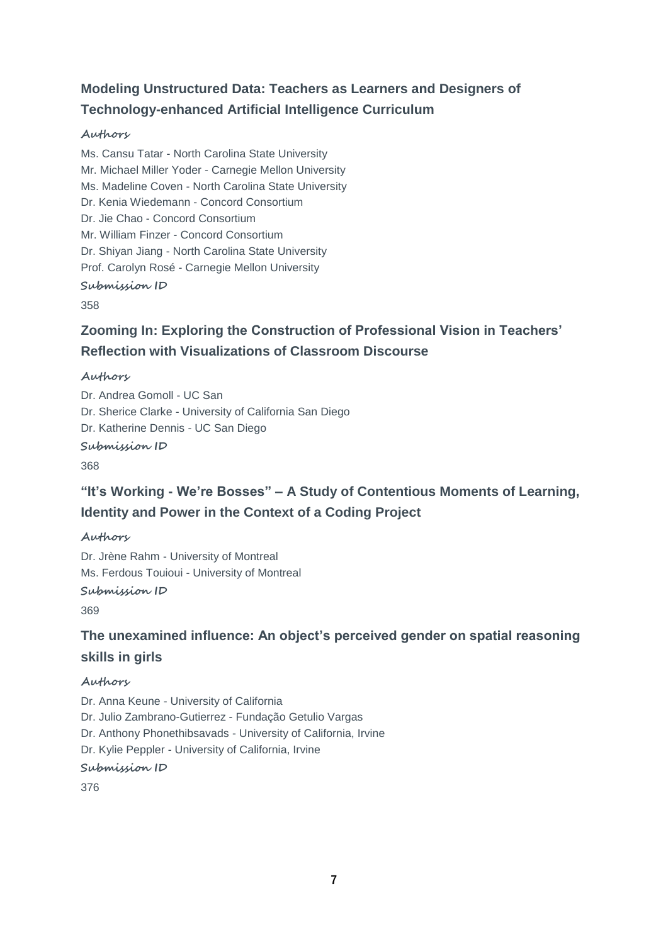# **Modeling Unstructured Data: Teachers as Learners and Designers of Technology-enhanced Artificial Intelligence Curriculum**

#### **Authors**

Ms. Cansu Tatar - North Carolina State University Mr. Michael Miller Yoder - Carnegie Mellon University Ms. Madeline Coven - North Carolina State University Dr. Kenia Wiedemann - Concord Consortium Dr. Jie Chao - Concord Consortium Mr. William Finzer - Concord Consortium Dr. Shiyan Jiang - North Carolina State University Prof. Carolyn Rosé - Carnegie Mellon University **Submission ID**

358

# **Zooming In: Exploring the Construction of Professional Vision in Teachers' Reflection with Visualizations of Classroom Discourse**

#### **Authors**

Dr. Andrea Gomoll - UC San Dr. Sherice Clarke - University of California San Diego Dr. Katherine Dennis - UC San Diego

**Submission ID**

368

### **"It's Working - We're Bosses" – A Study of Contentious Moments of Learning, Identity and Power in the Context of a Coding Project**

#### **Authors**

Dr. Jrène Rahm - University of Montreal Ms. Ferdous Touioui - University of Montreal

#### **Submission ID**

369

### **The unexamined influence: An object's perceived gender on spatial reasoning skills in girls**

#### **Authors**

Dr. Anna Keune - University of California Dr. Julio Zambrano-Gutierrez - Fundação Getulio Vargas Dr. Anthony Phonethibsavads - University of California, Irvine Dr. Kylie Peppler - University of California, Irvine **Submission ID**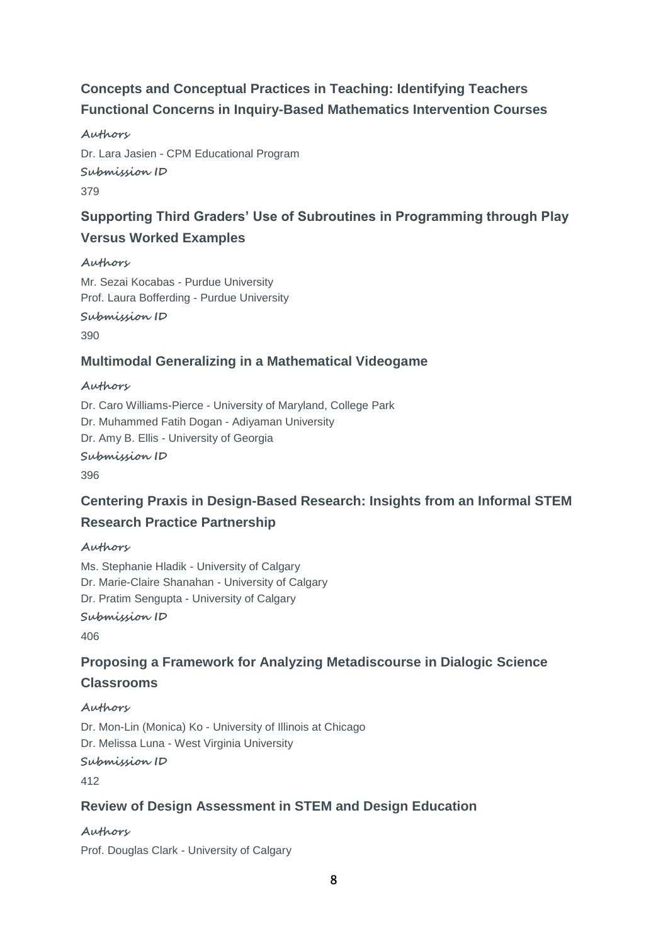# **Concepts and Conceptual Practices in Teaching: Identifying Teachers Functional Concerns in Inquiry-Based Mathematics Intervention Courses**

#### **Authors**

Dr. Lara Jasien - CPM Educational Program **Submission ID** 379

### **Supporting Third Graders' Use of Subroutines in Programming through Play Versus Worked Examples**

#### **Authors**

Mr. Sezai Kocabas - Purdue University Prof. Laura Bofferding - Purdue University **Submission ID** 390

### **Multimodal Generalizing in a Mathematical Videogame**

#### **Authors**

Dr. Caro Williams-Pierce - University of Maryland, College Park Dr. Muhammed Fatih Dogan - Adiyaman University Dr. Amy B. Ellis - University of Georgia **Submission ID** 396

### **Centering Praxis in Design-Based Research: Insights from an Informal STEM Research Practice Partnership**

### **Authors**

Ms. Stephanie Hladik - University of Calgary Dr. Marie-Claire Shanahan - University of Calgary Dr. Pratim Sengupta - University of Calgary **Submission ID**

406

### **Proposing a Framework for Analyzing Metadiscourse in Dialogic Science Classrooms**

### **Authors**

Dr. Mon-Lin (Monica) Ko - University of Illinois at Chicago Dr. Melissa Luna - West Virginia University **Submission ID**

412

### **Review of Design Assessment in STEM and Design Education**

### **Authors**

Prof. Douglas Clark - University of Calgary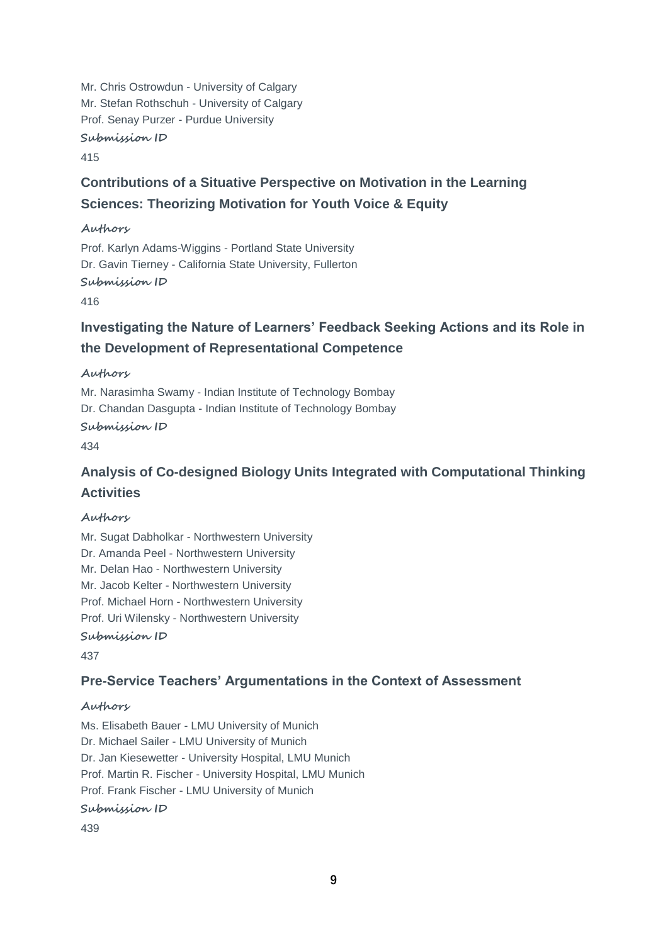Mr. Chris Ostrowdun - University of Calgary Mr. Stefan Rothschuh - University of Calgary Prof. Senay Purzer - Purdue University

**Submission ID**

415

# **Contributions of a Situative Perspective on Motivation in the Learning Sciences: Theorizing Motivation for Youth Voice & Equity**

#### **Authors**

Prof. Karlyn Adams-Wiggins - Portland State University Dr. Gavin Tierney - California State University, Fullerton

**Submission ID**

416

### **Investigating the Nature of Learners' Feedback Seeking Actions and its Role in the Development of Representational Competence**

**Authors**

Mr. Narasimha Swamy - Indian Institute of Technology Bombay Dr. Chandan Dasgupta - Indian Institute of Technology Bombay

**Submission ID**

434

# **Analysis of Co-designed Biology Units Integrated with Computational Thinking Activities**

### **Authors**

Mr. Sugat Dabholkar - Northwestern University Dr. Amanda Peel - Northwestern University Mr. Delan Hao - Northwestern University Mr. Jacob Kelter - Northwestern University Prof. Michael Horn - Northwestern University Prof. Uri Wilensky - Northwestern University **Submission ID**

437

### **Pre-Service Teachers' Argumentations in the Context of Assessment**

### **Authors**

Ms. Elisabeth Bauer - LMU University of Munich Dr. Michael Sailer - LMU University of Munich Dr. Jan Kiesewetter - University Hospital, LMU Munich Prof. Martin R. Fischer - University Hospital, LMU Munich Prof. Frank Fischer - LMU University of Munich **Submission ID**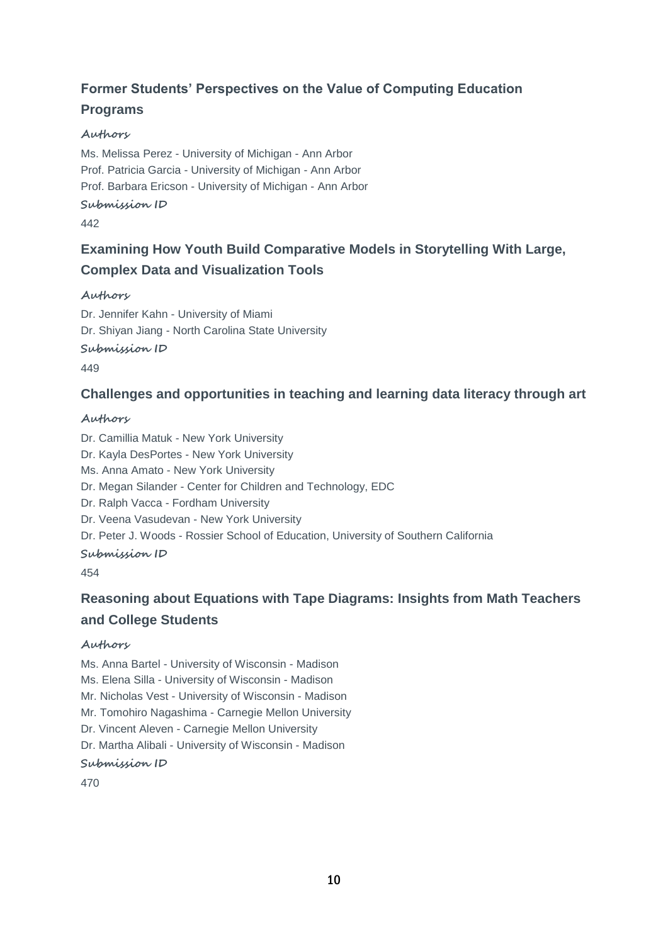### **Former Students' Perspectives on the Value of Computing Education Programs**

### **Authors**

Ms. Melissa Perez - University of Michigan - Ann Arbor Prof. Patricia Garcia - University of Michigan - Ann Arbor Prof. Barbara Ericson - University of Michigan - Ann Arbor **Submission ID**

#### 442

# **Examining How Youth Build Comparative Models in Storytelling With Large, Complex Data and Visualization Tools**

#### **Authors**

Dr. Jennifer Kahn - University of Miami Dr. Shiyan Jiang - North Carolina State University **Submission ID**

449

### **Challenges and opportunities in teaching and learning data literacy through art**

#### **Authors**

Dr. Camillia Matuk - New York University Dr. Kayla DesPortes - New York University Ms. Anna Amato - New York University Dr. Megan Silander - Center for Children and Technology, EDC Dr. Ralph Vacca - Fordham University Dr. Veena Vasudevan - New York University Dr. Peter J. Woods - Rossier School of Education, University of Southern California **Submission ID** 454

### **Reasoning about Equations with Tape Diagrams: Insights from Math Teachers and College Students**

#### **Authors**

Ms. Anna Bartel - University of Wisconsin - Madison

Ms. Elena Silla - University of Wisconsin - Madison

Mr. Nicholas Vest - University of Wisconsin - Madison

Mr. Tomohiro Nagashima - Carnegie Mellon University

Dr. Vincent Aleven - Carnegie Mellon University

Dr. Martha Alibali - University of Wisconsin - Madison

### **Submission ID**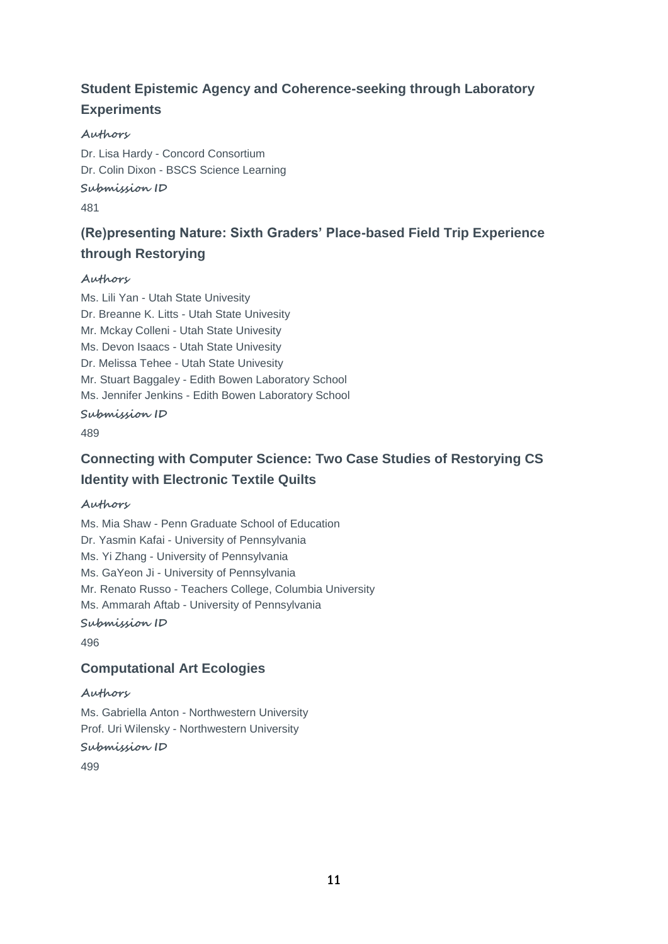# **Student Epistemic Agency and Coherence-seeking through Laboratory Experiments**

### **Authors**

Dr. Lisa Hardy - Concord Consortium Dr. Colin Dixon - BSCS Science Learning **Submission ID**

481

# **(Re)presenting Nature: Sixth Graders' Place-based Field Trip Experience through Restorying**

#### **Authors**

Ms. Lili Yan - Utah State Univesity Dr. Breanne K. Litts - Utah State Univesity Mr. Mckay Colleni - Utah State Univesity Ms. Devon Isaacs - Utah State Univesity Dr. Melissa Tehee - Utah State Univesity Mr. Stuart Baggaley - Edith Bowen Laboratory School Ms. Jennifer Jenkins - Edith Bowen Laboratory School **Submission ID**

489

### **Connecting with Computer Science: Two Case Studies of Restorying CS Identity with Electronic Textile Quilts**

### **Authors**

Ms. Mia Shaw - Penn Graduate School of Education Dr. Yasmin Kafai - University of Pennsylvania Ms. Yi Zhang - University of Pennsylvania Ms. GaYeon Ji - University of Pennsylvania Mr. Renato Russo - Teachers College, Columbia University Ms. Ammarah Aftab - University of Pennsylvania **Submission ID**

496

### **Computational Art Ecologies**

#### **Authors**

Ms. Gabriella Anton - Northwestern University Prof. Uri Wilensky - Northwestern University

**Submission ID**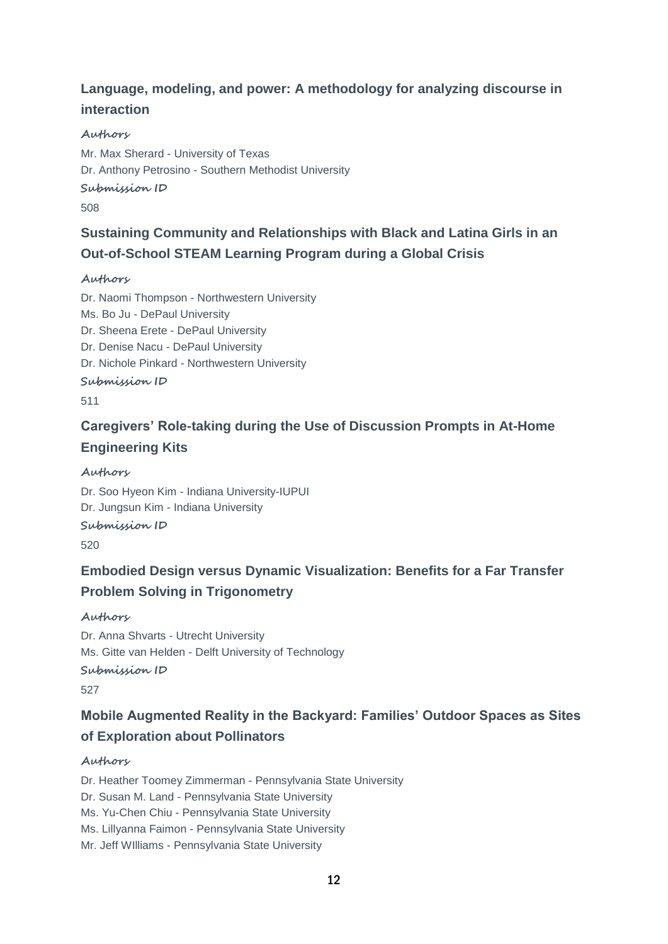### **Language, modeling, and power: A methodology for analyzing discourse in interaction**

### **Authors**

Mr. Max Sherard - University of Texas Dr. Anthony Petrosino - Southern Methodist University

### **Submission ID**

508

### **Sustaining Community and Relationships with Black and Latina Girls in an Out-of-School STEAM Learning Program during a Global Crisis**

#### **Authors**

Dr. Naomi Thompson - Northwestern University Ms. Bo Ju - DePaul University Dr. Sheena Erete - DePaul University Dr. Denise Nacu - DePaul University Dr. Nichole Pinkard - Northwestern University **Submission ID** 511

# **Caregivers' Role-taking during the Use of Discussion Prompts in At-Home Engineering Kits**

**Authors** Dr. Soo Hyeon Kim - Indiana University-IUPUI Dr. Jungsun Kim - Indiana University **Submission ID** 520

### **Embodied Design versus Dynamic Visualization: Benefits for a Far Transfer Problem Solving in Trigonometry**

**Authors**

Dr. Anna Shvarts - Utrecht University Ms. Gitte van Helden - Delft University of Technology **Submission ID**

527

### **Mobile Augmented Reality in the Backyard: Families' Outdoor Spaces as Sites of Exploration about Pollinators**

### **Authors**

Dr. Heather Toomey Zimmerman - Pennsylvania State University Dr. Susan M. Land - Pennsylvania State University Ms. Yu-Chen Chiu - Pennsylvania State University Ms. Lillyanna Faimon - Pennsylvania State University Mr. Jeff WIlliams - Pennsylvania State University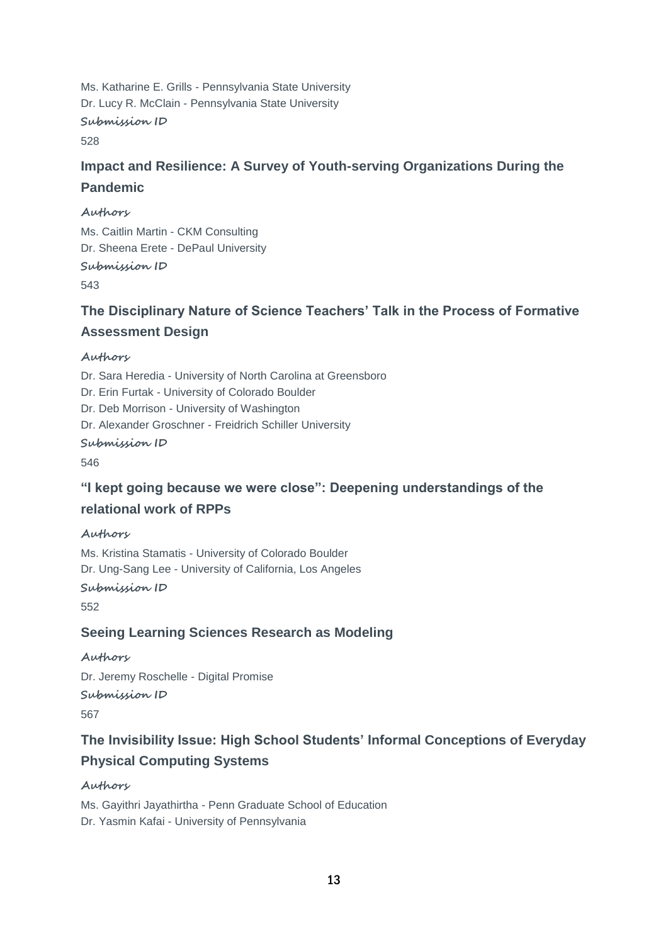Ms. Katharine E. Grills - Pennsylvania State University Dr. Lucy R. McClain - Pennsylvania State University **Submission ID** 528

# **Impact and Resilience: A Survey of Youth-serving Organizations During the Pandemic**

#### **Authors**

Ms. Caitlin Martin - CKM Consulting Dr. Sheena Erete - DePaul University **Submission ID**

543

### **The Disciplinary Nature of Science Teachers' Talk in the Process of Formative Assessment Design**

#### **Authors**

Dr. Sara Heredia - University of North Carolina at Greensboro Dr. Erin Furtak - University of Colorado Boulder Dr. Deb Morrison - University of Washington Dr. Alexander Groschner - Freidrich Schiller University **Submission ID** 546

### **"I kept going because we were close": Deepening understandings of the relational work of RPPs**

### **Authors**

Ms. Kristina Stamatis - University of Colorado Boulder Dr. Ung-Sang Lee - University of California, Los Angeles

**Submission ID**

552

### **Seeing Learning Sciences Research as Modeling**

**Authors** Dr. Jeremy Roschelle - Digital Promise **Submission ID** 567

# **The Invisibility Issue: High School Students' Informal Conceptions of Everyday Physical Computing Systems**

**Authors** Ms. Gayithri Jayathirtha - Penn Graduate School of Education Dr. Yasmin Kafai - University of Pennsylvania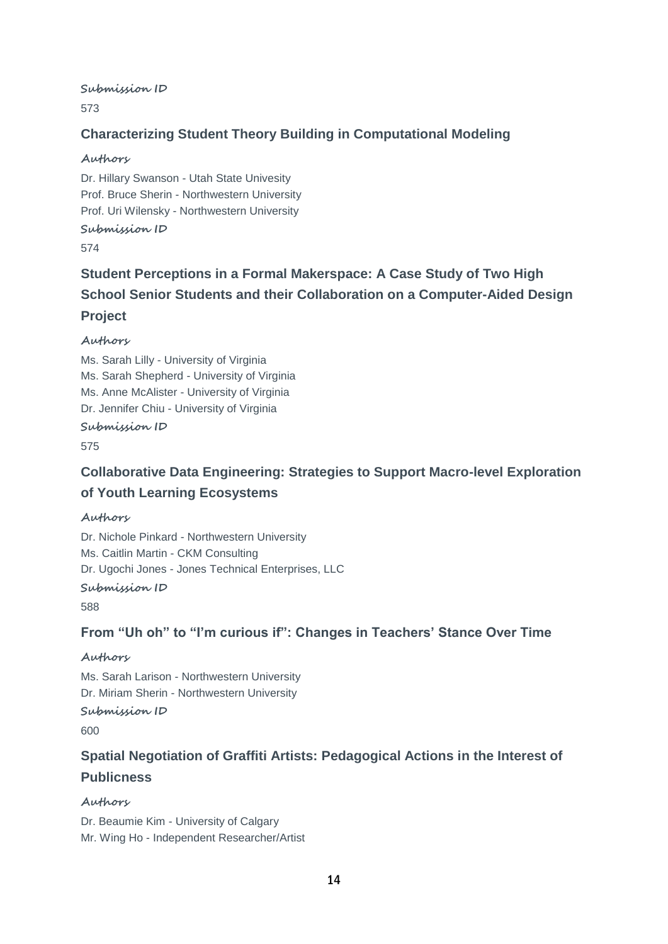**Submission ID**

573

### **Characterizing Student Theory Building in Computational Modeling**

#### **Authors**

Dr. Hillary Swanson - Utah State Univesity Prof. Bruce Sherin - Northwestern University Prof. Uri Wilensky - Northwestern University **Submission ID**

574

# **Student Perceptions in a Formal Makerspace: A Case Study of Two High School Senior Students and their Collaboration on a Computer-Aided Design Project**

### **Authors**

Ms. Sarah Lilly - University of Virginia Ms. Sarah Shepherd - University of Virginia Ms. Anne McAlister - University of Virginia Dr. Jennifer Chiu - University of Virginia

### **Submission ID**

575

# **Collaborative Data Engineering: Strategies to Support Macro-level Exploration of Youth Learning Ecosystems**

### **Authors**

Dr. Nichole Pinkard - Northwestern University Ms. Caitlin Martin - CKM Consulting Dr. Ugochi Jones - Jones Technical Enterprises, LLC

#### **Submission ID**

588

### **From "Uh oh" to "I'm curious if": Changes in Teachers' Stance Over Time**

### **Authors**

Ms. Sarah Larison - Northwestern University Dr. Miriam Sherin - Northwestern University

**Submission ID**

600

# **Spatial Negotiation of Graffiti Artists: Pedagogical Actions in the Interest of Publicness**

### **Authors**

Dr. Beaumie Kim - University of Calgary Mr. Wing Ho - Independent Researcher/Artist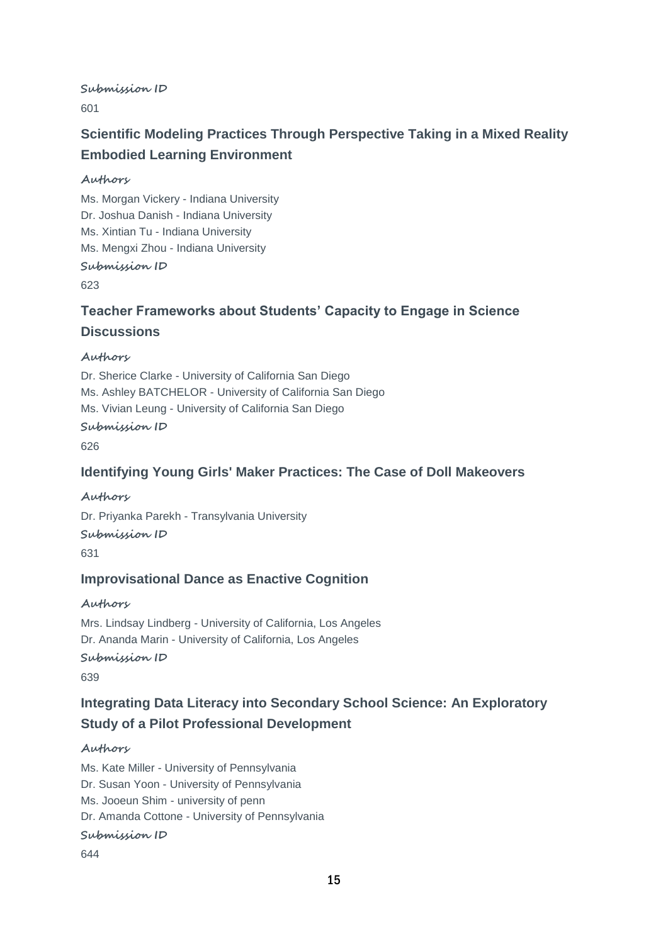**Submission ID**

601

# **Scientific Modeling Practices Through Perspective Taking in a Mixed Reality Embodied Learning Environment**

#### **Authors**

Ms. Morgan Vickery - Indiana University Dr. Joshua Danish - Indiana University Ms. Xintian Tu - Indiana University Ms. Mengxi Zhou - Indiana University

### **Submission ID**

623

### **Teacher Frameworks about Students' Capacity to Engage in Science Discussions**

#### **Authors**

Dr. Sherice Clarke - University of California San Diego Ms. Ashley BATCHELOR - University of California San Diego Ms. Vivian Leung - University of California San Diego

### **Submission ID**

626

### **Identifying Young Girls' Maker Practices: The Case of Doll Makeovers**

**Authors** Dr. Priyanka Parekh - Transylvania University **Submission ID** 631

### **Improvisational Dance as Enactive Cognition**

**Authors**

Mrs. Lindsay Lindberg - University of California, Los Angeles Dr. Ananda Marin - University of California, Los Angeles **Submission ID**

639

### **Integrating Data Literacy into Secondary School Science: An Exploratory Study of a Pilot Professional Development**

#### **Authors**

Ms. Kate Miller - University of Pennsylvania Dr. Susan Yoon - University of Pennsylvania Ms. Jooeun Shim - university of penn Dr. Amanda Cottone - University of Pennsylvania **Submission ID**